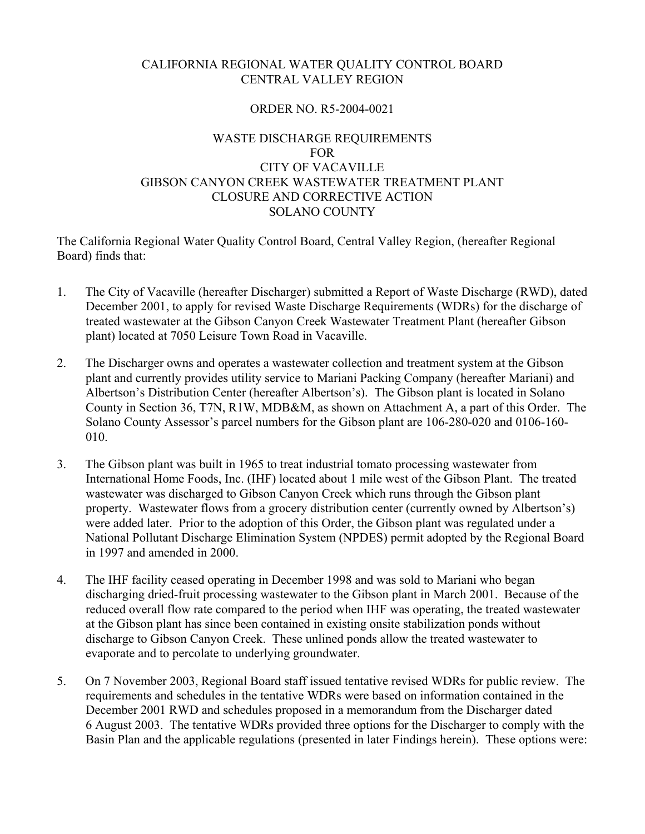# CALIFORNIA REGIONAL WATER QUALITY CONTROL BOARD CENTRAL VALLEY REGION

## ORDER NO. R5-2004-0021

# WASTE DISCHARGE REQUIREMENTS FOR CITY OF VACAVILLE GIBSON CANYON CREEK WASTEWATER TREATMENT PLANT CLOSURE AND CORRECTIVE ACTION SOLANO COUNTY

The California Regional Water Quality Control Board, Central Valley Region, (hereafter Regional Board) finds that:

- 1. The City of Vacaville (hereafter Discharger) submitted a Report of Waste Discharge (RWD), dated December 2001, to apply for revised Waste Discharge Requirements (WDRs) for the discharge of treated wastewater at the Gibson Canyon Creek Wastewater Treatment Plant (hereafter Gibson plant) located at 7050 Leisure Town Road in Vacaville.
- 2. The Discharger owns and operates a wastewater collection and treatment system at the Gibson plant and currently provides utility service to Mariani Packing Company (hereafter Mariani) and Albertson's Distribution Center (hereafter Albertson's). The Gibson plant is located in Solano County in Section 36, T7N, R1W, MDB&M, as shown on Attachment A, a part of this Order. The Solano County Assessor's parcel numbers for the Gibson plant are 106-280-020 and 0106-160- 010.
- 3. The Gibson plant was built in 1965 to treat industrial tomato processing wastewater from International Home Foods, Inc. (IHF) located about 1 mile west of the Gibson Plant. The treated wastewater was discharged to Gibson Canyon Creek which runs through the Gibson plant property. Wastewater flows from a grocery distribution center (currently owned by Albertson's) were added later. Prior to the adoption of this Order, the Gibson plant was regulated under a National Pollutant Discharge Elimination System (NPDES) permit adopted by the Regional Board in 1997 and amended in 2000.
- 4. The IHF facility ceased operating in December 1998 and was sold to Mariani who began discharging dried-fruit processing wastewater to the Gibson plant in March 2001. Because of the reduced overall flow rate compared to the period when IHF was operating, the treated wastewater at the Gibson plant has since been contained in existing onsite stabilization ponds without discharge to Gibson Canyon Creek. These unlined ponds allow the treated wastewater to evaporate and to percolate to underlying groundwater.
- 5. On 7 November 2003, Regional Board staff issued tentative revised WDRs for public review. The requirements and schedules in the tentative WDRs were based on information contained in the December 2001 RWD and schedules proposed in a memorandum from the Discharger dated 6 August 2003. The tentative WDRs provided three options for the Discharger to comply with the Basin Plan and the applicable regulations (presented in later Findings herein). These options were: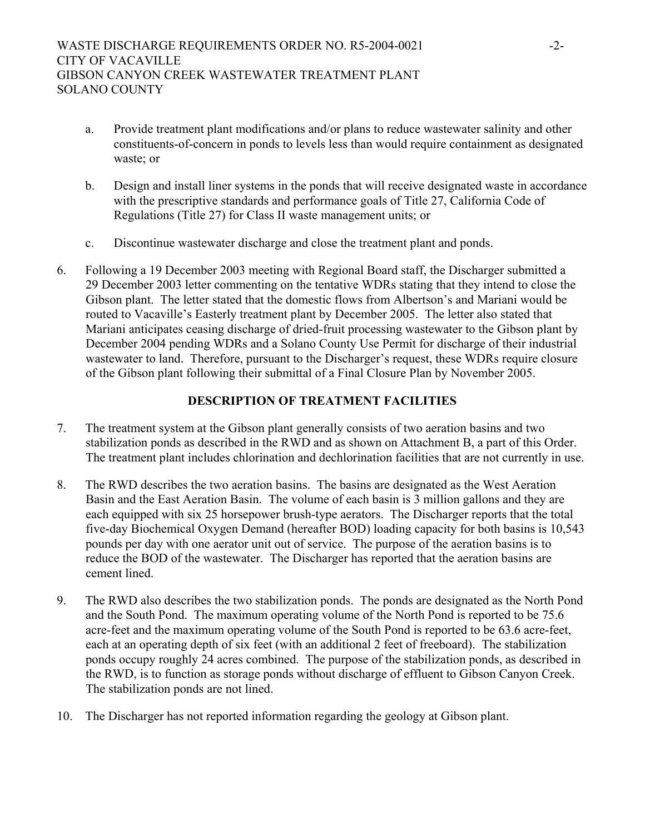- a. Provide treatment plant modifications and/or plans to reduce wastewater salinity and other constituents-of-concern in ponds to levels less than would require containment as designated waste; or
- b. Design and install liner systems in the ponds that will receive designated waste in accordance with the prescriptive standards and performance goals of Title 27, California Code of Regulations (Title 27) for Class II waste management units; or
- c. Discontinue wastewater discharge and close the treatment plant and ponds.
- 6. Following a 19 December 2003 meeting with Regional Board staff, the Discharger submitted a 29 December 2003 letter commenting on the tentative WDRs stating that they intend to close the Gibson plant. The letter stated that the domestic flows from Albertson's and Mariani would be routed to Vacaville's Easterly treatment plant by December 2005. The letter also stated that Mariani anticipates ceasing discharge of dried-fruit processing wastewater to the Gibson plant by December 2004 pending WDRs and a Solano County Use Permit for discharge of their industrial wastewater to land. Therefore, pursuant to the Discharger's request, these WDRs require closure of the Gibson plant following their submittal of a Final Closure Plan by November 2005.

# **DESCRIPTION OF TREATMENT FACILITIES**

- 7. The treatment system at the Gibson plant generally consists of two aeration basins and two stabilization ponds as described in the RWD and as shown on Attachment B, a part of this Order. The treatment plant includes chlorination and dechlorination facilities that are not currently in use.
- 8. The RWD describes the two aeration basins. The basins are designated as the West Aeration Basin and the East Aeration Basin. The volume of each basin is 3 million gallons and they are each equipped with six 25 horsepower brush-type aerators. The Discharger reports that the total five-day Biochemical Oxygen Demand (hereafter BOD) loading capacity for both basins is 10,543 pounds per day with one aerator unit out of service. The purpose of the aeration basins is to reduce the BOD of the wastewater. The Discharger has reported that the aeration basins are cement lined.
- 9. The RWD also describes the two stabilization ponds. The ponds are designated as the North Pond and the South Pond. The maximum operating volume of the North Pond is reported to be 75.6 acre-feet and the maximum operating volume of the South Pond is reported to be 63.6 acre-feet, each at an operating depth of six feet (with an additional 2 feet of freeboard). The stabilization ponds occupy roughly 24 acres combined. The purpose of the stabilization ponds, as described in the RWD, is to function as storage ponds without discharge of effluent to Gibson Canyon Creek. The stabilization ponds are not lined.
- 10. The Discharger has not reported information regarding the geology at Gibson plant.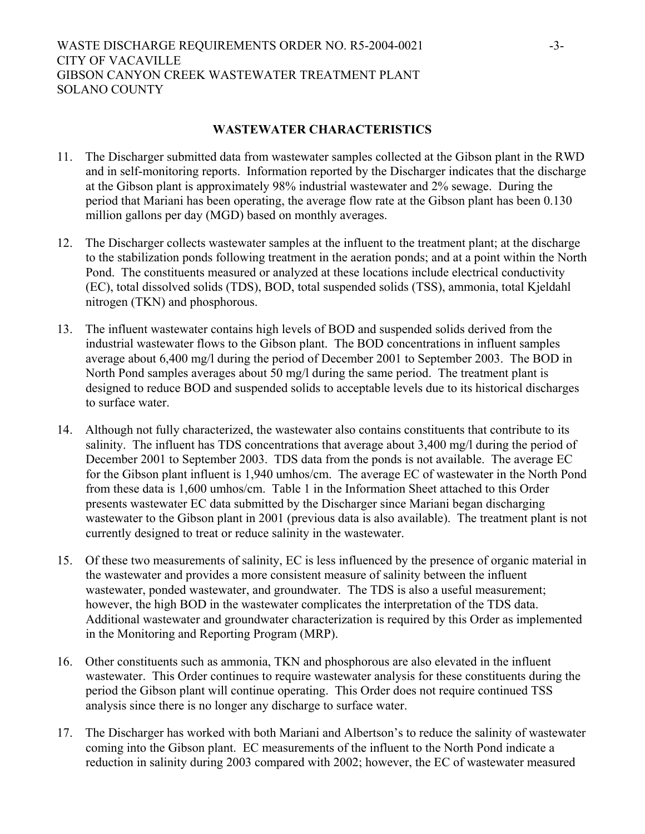## **WASTEWATER CHARACTERISTICS**

- 11. The Discharger submitted data from wastewater samples collected at the Gibson plant in the RWD and in self-monitoring reports. Information reported by the Discharger indicates that the discharge at the Gibson plant is approximately 98% industrial wastewater and 2% sewage. During the period that Mariani has been operating, the average flow rate at the Gibson plant has been 0.130 million gallons per day (MGD) based on monthly averages.
- 12. The Discharger collects wastewater samples at the influent to the treatment plant; at the discharge to the stabilization ponds following treatment in the aeration ponds; and at a point within the North Pond. The constituents measured or analyzed at these locations include electrical conductivity (EC), total dissolved solids (TDS), BOD, total suspended solids (TSS), ammonia, total Kjeldahl nitrogen (TKN) and phosphorous.
- 13. The influent wastewater contains high levels of BOD and suspended solids derived from the industrial wastewater flows to the Gibson plant. The BOD concentrations in influent samples average about 6,400 mg/l during the period of December 2001 to September 2003. The BOD in North Pond samples averages about 50 mg/l during the same period. The treatment plant is designed to reduce BOD and suspended solids to acceptable levels due to its historical discharges to surface water.
- 14. Although not fully characterized, the wastewater also contains constituents that contribute to its salinity. The influent has TDS concentrations that average about 3,400 mg/l during the period of December 2001 to September 2003. TDS data from the ponds is not available. The average EC for the Gibson plant influent is 1,940 umhos/cm. The average EC of wastewater in the North Pond from these data is 1,600 umhos/cm. Table 1 in the Information Sheet attached to this Order presents wastewater EC data submitted by the Discharger since Mariani began discharging wastewater to the Gibson plant in 2001 (previous data is also available). The treatment plant is not currently designed to treat or reduce salinity in the wastewater.
- 15. Of these two measurements of salinity, EC is less influenced by the presence of organic material in the wastewater and provides a more consistent measure of salinity between the influent wastewater, ponded wastewater, and groundwater. The TDS is also a useful measurement; however, the high BOD in the wastewater complicates the interpretation of the TDS data. Additional wastewater and groundwater characterization is required by this Order as implemented in the Monitoring and Reporting Program (MRP).
- 16. Other constituents such as ammonia, TKN and phosphorous are also elevated in the influent wastewater. This Order continues to require wastewater analysis for these constituents during the period the Gibson plant will continue operating. This Order does not require continued TSS analysis since there is no longer any discharge to surface water.
- 17. The Discharger has worked with both Mariani and Albertson's to reduce the salinity of wastewater coming into the Gibson plant. EC measurements of the influent to the North Pond indicate a reduction in salinity during 2003 compared with 2002; however, the EC of wastewater measured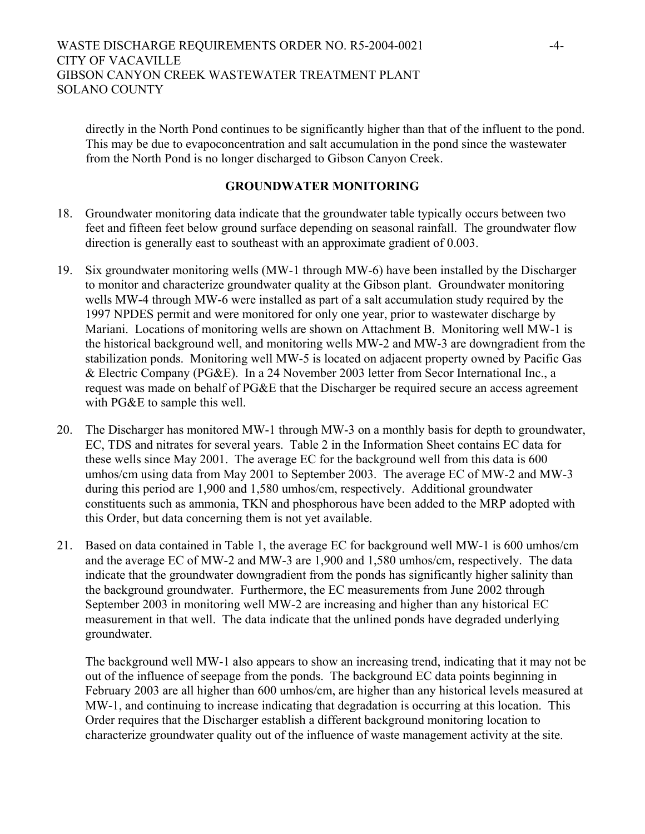directly in the North Pond continues to be significantly higher than that of the influent to the pond. This may be due to evapoconcentration and salt accumulation in the pond since the wastewater from the North Pond is no longer discharged to Gibson Canyon Creek.

## **GROUNDWATER MONITORING**

- 18. Groundwater monitoring data indicate that the groundwater table typically occurs between two feet and fifteen feet below ground surface depending on seasonal rainfall. The groundwater flow direction is generally east to southeast with an approximate gradient of 0.003.
- 19. Six groundwater monitoring wells (MW-1 through MW-6) have been installed by the Discharger to monitor and characterize groundwater quality at the Gibson plant. Groundwater monitoring wells MW-4 through MW-6 were installed as part of a salt accumulation study required by the 1997 NPDES permit and were monitored for only one year, prior to wastewater discharge by Mariani. Locations of monitoring wells are shown on Attachment B. Monitoring well MW-1 is the historical background well, and monitoring wells MW-2 and MW-3 are downgradient from the stabilization ponds. Monitoring well MW-5 is located on adjacent property owned by Pacific Gas & Electric Company (PG&E). In a 24 November 2003 letter from Secor International Inc., a request was made on behalf of PG&E that the Discharger be required secure an access agreement with PG&E to sample this well.
- 20. The Discharger has monitored MW-1 through MW-3 on a monthly basis for depth to groundwater, EC, TDS and nitrates for several years. Table 2 in the Information Sheet contains EC data for these wells since May 2001. The average EC for the background well from this data is 600 umhos/cm using data from May 2001 to September 2003. The average EC of MW-2 and MW-3 during this period are 1,900 and 1,580 umhos/cm, respectively. Additional groundwater constituents such as ammonia, TKN and phosphorous have been added to the MRP adopted with this Order, but data concerning them is not yet available.
- 21. Based on data contained in Table 1, the average EC for background well MW-1 is 600 umhos/cm and the average EC of MW-2 and MW-3 are 1,900 and 1,580 umhos/cm, respectively. The data indicate that the groundwater downgradient from the ponds has significantly higher salinity than the background groundwater. Furthermore, the EC measurements from June 2002 through September 2003 in monitoring well MW-2 are increasing and higher than any historical EC measurement in that well. The data indicate that the unlined ponds have degraded underlying groundwater.

The background well MW-1 also appears to show an increasing trend, indicating that it may not be out of the influence of seepage from the ponds. The background EC data points beginning in February 2003 are all higher than 600 umhos/cm, are higher than any historical levels measured at MW-1, and continuing to increase indicating that degradation is occurring at this location. This Order requires that the Discharger establish a different background monitoring location to characterize groundwater quality out of the influence of waste management activity at the site.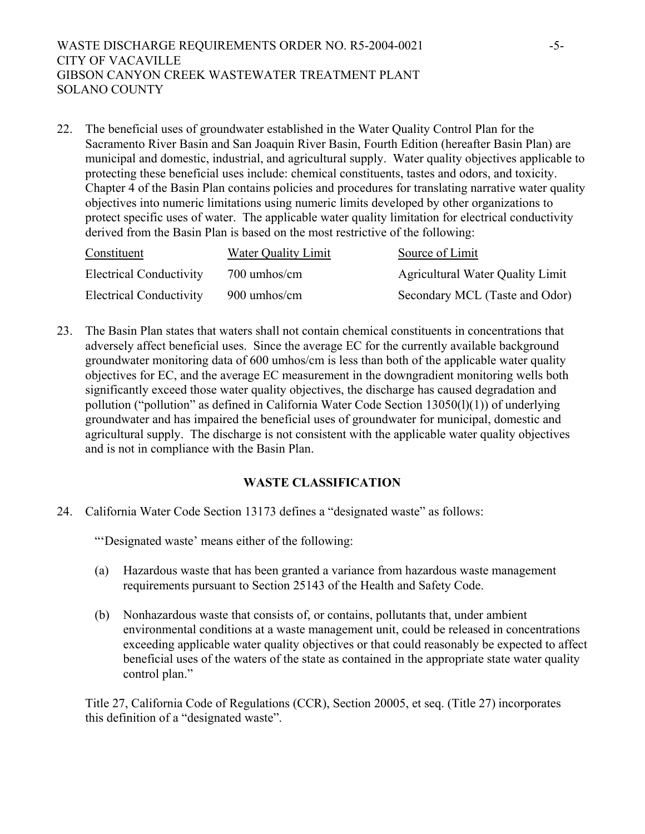## WASTE DISCHARGE REQUIREMENTS ORDER NO. R5-2004-0021 -5-CITY OF VACAVILLE GIBSON CANYON CREEK WASTEWATER TREATMENT PLANT SOLANO COUNTY

22. The beneficial uses of groundwater established in the Water Quality Control Plan for the Sacramento River Basin and San Joaquin River Basin, Fourth Edition (hereafter Basin Plan) are municipal and domestic, industrial, and agricultural supply. Water quality objectives applicable to protecting these beneficial uses include: chemical constituents, tastes and odors, and toxicity. Chapter 4 of the Basin Plan contains policies and procedures for translating narrative water quality objectives into numeric limitations using numeric limits developed by other organizations to protect specific uses of water. The applicable water quality limitation for electrical conductivity derived from the Basin Plan is based on the most restrictive of the following:

| Constituent                    | Water Quality Limit | Source of Limit                  |
|--------------------------------|---------------------|----------------------------------|
| <b>Electrical Conductivity</b> | 700 umhos/cm        | Agricultural Water Quality Limit |
| <b>Electrical Conductivity</b> | 900 umhos/cm        | Secondary MCL (Taste and Odor)   |

23. The Basin Plan states that waters shall not contain chemical constituents in concentrations that adversely affect beneficial uses. Since the average EC for the currently available background groundwater monitoring data of 600 umhos/cm is less than both of the applicable water quality objectives for EC, and the average EC measurement in the downgradient monitoring wells both significantly exceed those water quality objectives, the discharge has caused degradation and pollution ("pollution" as defined in California Water Code Section 13050(l)(1)) of underlying groundwater and has impaired the beneficial uses of groundwater for municipal, domestic and agricultural supply. The discharge is not consistent with the applicable water quality objectives and is not in compliance with the Basin Plan.

# **WASTE CLASSIFICATION**

24. California Water Code Section 13173 defines a "designated waste" as follows:

"'Designated waste' means either of the following:

- (a) Hazardous waste that has been granted a variance from hazardous waste management requirements pursuant to Section 25143 of the Health and Safety Code.
- (b) Nonhazardous waste that consists of, or contains, pollutants that, under ambient environmental conditions at a waste management unit, could be released in concentrations exceeding applicable water quality objectives or that could reasonably be expected to affect beneficial uses of the waters of the state as contained in the appropriate state water quality control plan."

Title 27, California Code of Regulations (CCR), Section 20005, et seq. (Title 27) incorporates this definition of a "designated waste".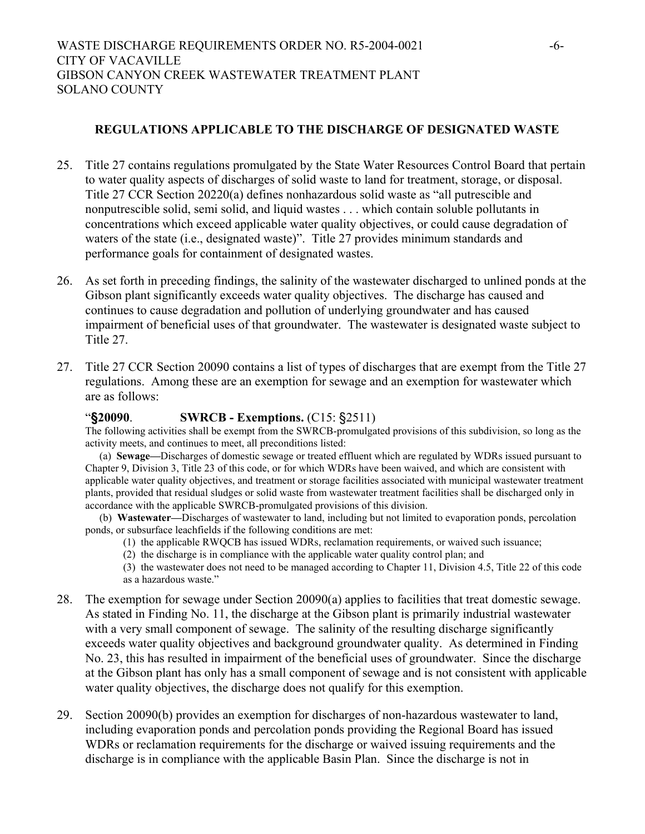# **REGULATIONS APPLICABLE TO THE DISCHARGE OF DESIGNATED WASTE**

- 25. Title 27 contains regulations promulgated by the State Water Resources Control Board that pertain to water quality aspects of discharges of solid waste to land for treatment, storage, or disposal. Title 27 CCR Section 20220(a) defines nonhazardous solid waste as "all putrescible and nonputrescible solid, semi solid, and liquid wastes . . . which contain soluble pollutants in concentrations which exceed applicable water quality objectives, or could cause degradation of waters of the state (i.e., designated waste)". Title 27 provides minimum standards and performance goals for containment of designated wastes.
- 26. As set forth in preceding findings, the salinity of the wastewater discharged to unlined ponds at the Gibson plant significantly exceeds water quality objectives. The discharge has caused and continues to cause degradation and pollution of underlying groundwater and has caused impairment of beneficial uses of that groundwater. The wastewater is designated waste subject to Title 27.
- 27. Title 27 CCR Section 20090 contains a list of types of discharges that are exempt from the Title 27 regulations. Among these are an exemption for sewage and an exemption for wastewater which are as follows:

# "**§20090**. **SWRCB - Exemptions.** (C15: §2511)

The following activities shall be exempt from the SWRCB-promulgated provisions of this subdivision, so long as the activity meets, and continues to meet, all preconditions listed:

(a) **Sewage—**Discharges of domestic sewage or treated effluent which are regulated by WDRs issued pursuant to Chapter 9, Division 3, Title 23 of this code, or for which WDRs have been waived, and which are consistent with applicable water quality objectives, and treatment or storage facilities associated with municipal wastewater treatment plants, provided that residual sludges or solid waste from wastewater treatment facilities shall be discharged only in accordance with the applicable SWRCB-promulgated provisions of this division.

(b) **Wastewater—**Discharges of wastewater to land, including but not limited to evaporation ponds, percolation ponds, or subsurface leachfields if the following conditions are met:

- (1) the applicable RWQCB has issued WDRs, reclamation requirements, or waived such issuance;
- (2) the discharge is in compliance with the applicable water quality control plan; and
- (3) the wastewater does not need to be managed according to Chapter 11, Division 4.5, Title 22 of this code as a hazardous waste."
- 28. The exemption for sewage under Section 20090(a) applies to facilities that treat domestic sewage. As stated in Finding No. 11, the discharge at the Gibson plant is primarily industrial wastewater with a very small component of sewage. The salinity of the resulting discharge significantly exceeds water quality objectives and background groundwater quality. As determined in Finding No. 23, this has resulted in impairment of the beneficial uses of groundwater. Since the discharge at the Gibson plant has only has a small component of sewage and is not consistent with applicable water quality objectives, the discharge does not qualify for this exemption.
- 29. Section 20090(b) provides an exemption for discharges of non-hazardous wastewater to land, including evaporation ponds and percolation ponds providing the Regional Board has issued WDRs or reclamation requirements for the discharge or waived issuing requirements and the discharge is in compliance with the applicable Basin Plan. Since the discharge is not in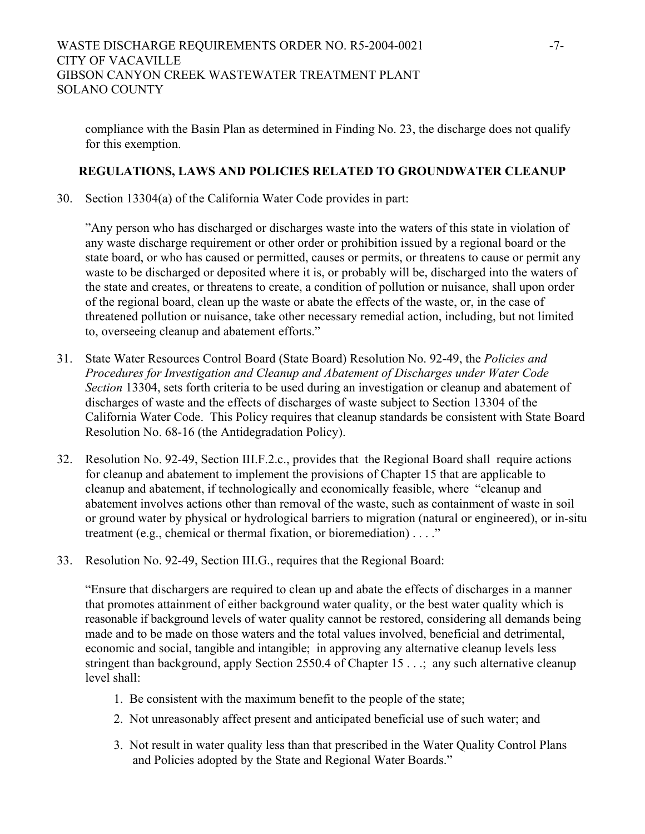compliance with the Basin Plan as determined in Finding No. 23, the discharge does not qualify for this exemption.

## **REGULATIONS, LAWS AND POLICIES RELATED TO GROUNDWATER CLEANUP**

30. Section 13304(a) of the California Water Code provides in part:

"Any person who has discharged or discharges waste into the waters of this state in violation of any waste discharge requirement or other order or prohibition issued by a regional board or the state board, or who has caused or permitted, causes or permits, or threatens to cause or permit any waste to be discharged or deposited where it is, or probably will be, discharged into the waters of the state and creates, or threatens to create, a condition of pollution or nuisance, shall upon order of the regional board, clean up the waste or abate the effects of the waste, or, in the case of threatened pollution or nuisance, take other necessary remedial action, including, but not limited to, overseeing cleanup and abatement efforts."

- 31. State Water Resources Control Board (State Board) Resolution No. 92-49, the *Policies and Procedures for Investigation and Cleanup and Abatement of Discharges under Water Code Section* 13304, sets forth criteria to be used during an investigation or cleanup and abatement of discharges of waste and the effects of discharges of waste subject to Section 13304 of the California Water Code. This Policy requires that cleanup standards be consistent with State Board Resolution No. 68-16 (the Antidegradation Policy).
- 32. Resolution No. 92-49, Section III.F.2.c., provides that the Regional Board shall require actions for cleanup and abatement to implement the provisions of Chapter 15 that are applicable to cleanup and abatement, if technologically and economically feasible, where "cleanup and abatement involves actions other than removal of the waste, such as containment of waste in soil or ground water by physical or hydrological barriers to migration (natural or engineered), or in-situ treatment (e.g., chemical or thermal fixation, or bioremediation) . . . ."
- 33. Resolution No. 92-49, Section III.G., requires that the Regional Board:

"Ensure that dischargers are required to clean up and abate the effects of discharges in a manner that promotes attainment of either background water quality, or the best water quality which is reasonable if background levels of water quality cannot be restored, considering all demands being made and to be made on those waters and the total values involved, beneficial and detrimental, economic and social, tangible and intangible; in approving any alternative cleanup levels less stringent than background, apply Section 2550.4 of Chapter 15 . . .; any such alternative cleanup level shall:

- 1. Be consistent with the maximum benefit to the people of the state;
- 2. Not unreasonably affect present and anticipated beneficial use of such water; and
- 3. Not result in water quality less than that prescribed in the Water Quality Control Plans and Policies adopted by the State and Regional Water Boards."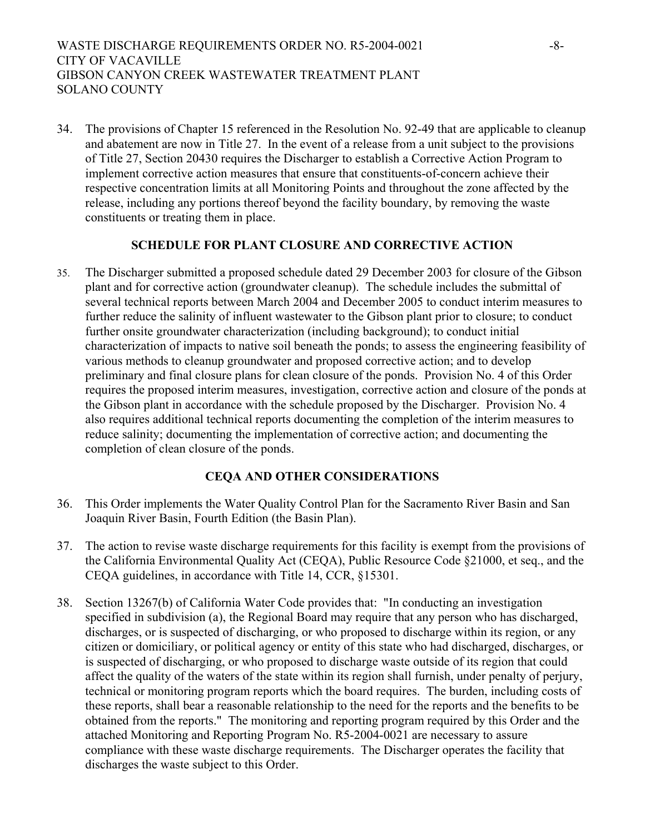WASTE DISCHARGE REQUIREMENTS ORDER NO. R5-2004-0021 -8-CITY OF VACAVILLE GIBSON CANYON CREEK WASTEWATER TREATMENT PLANT SOLANO COUNTY

34. The provisions of Chapter 15 referenced in the Resolution No. 92-49 that are applicable to cleanup and abatement are now in Title 27. In the event of a release from a unit subject to the provisions of Title 27, Section 20430 requires the Discharger to establish a Corrective Action Program to implement corrective action measures that ensure that constituents-of-concern achieve their respective concentration limits at all Monitoring Points and throughout the zone affected by the release, including any portions thereof beyond the facility boundary, by removing the waste constituents or treating them in place.

## **SCHEDULE FOR PLANT CLOSURE AND CORRECTIVE ACTION**

35. The Discharger submitted a proposed schedule dated 29 December 2003 for closure of the Gibson plant and for corrective action (groundwater cleanup). The schedule includes the submittal of several technical reports between March 2004 and December 2005 to conduct interim measures to further reduce the salinity of influent wastewater to the Gibson plant prior to closure; to conduct further onsite groundwater characterization (including background); to conduct initial characterization of impacts to native soil beneath the ponds; to assess the engineering feasibility of various methods to cleanup groundwater and proposed corrective action; and to develop preliminary and final closure plans for clean closure of the ponds. Provision No. 4 of this Order requires the proposed interim measures, investigation, corrective action and closure of the ponds at the Gibson plant in accordance with the schedule proposed by the Discharger. Provision No. 4 also requires additional technical reports documenting the completion of the interim measures to reduce salinity; documenting the implementation of corrective action; and documenting the completion of clean closure of the ponds.

### **CEQA AND OTHER CONSIDERATIONS**

- 36. This Order implements the Water Quality Control Plan for the Sacramento River Basin and San Joaquin River Basin, Fourth Edition (the Basin Plan).
- 37. The action to revise waste discharge requirements for this facility is exempt from the provisions of the California Environmental Quality Act (CEQA), Public Resource Code §21000, et seq., and the CEQA guidelines, in accordance with Title 14, CCR, §15301.
- 38. Section 13267(b) of California Water Code provides that: "In conducting an investigation specified in subdivision (a), the Regional Board may require that any person who has discharged, discharges, or is suspected of discharging, or who proposed to discharge within its region, or any citizen or domiciliary, or political agency or entity of this state who had discharged, discharges, or is suspected of discharging, or who proposed to discharge waste outside of its region that could affect the quality of the waters of the state within its region shall furnish, under penalty of perjury, technical or monitoring program reports which the board requires. The burden, including costs of these reports, shall bear a reasonable relationship to the need for the reports and the benefits to be obtained from the reports." The monitoring and reporting program required by this Order and the attached Monitoring and Reporting Program No. R5-2004-0021 are necessary to assure compliance with these waste discharge requirements. The Discharger operates the facility that discharges the waste subject to this Order.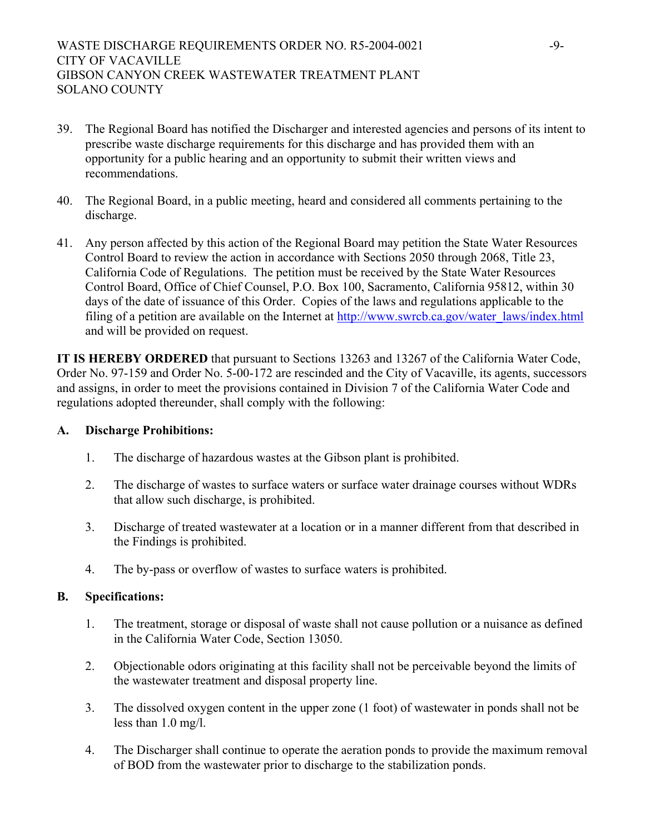WASTE DISCHARGE REQUIREMENTS ORDER NO. R5-2004-0021 -9-CITY OF VACAVILLE GIBSON CANYON CREEK WASTEWATER TREATMENT PLANT SOLANO COUNTY

- 39. The Regional Board has notified the Discharger and interested agencies and persons of its intent to prescribe waste discharge requirements for this discharge and has provided them with an opportunity for a public hearing and an opportunity to submit their written views and recommendations.
- 40. The Regional Board, in a public meeting, heard and considered all comments pertaining to the discharge.
- 41. Any person affected by this action of the Regional Board may petition the State Water Resources Control Board to review the action in accordance with Sections 2050 through 2068, Title 23, California Code of Regulations. The petition must be received by the State Water Resources Control Board, Office of Chief Counsel, P.O. Box 100, Sacramento, California 95812, within 30 days of the date of issuance of this Order. Copies of the laws and regulations applicable to the filing of a petition are available on the Internet at [http://www.swrcb.ca.gov/water\\_laws/index.html](http://www.swrcb.ca.gov/water_laws/index.html) and will be provided on request.

**IT IS HEREBY ORDERED** that pursuant to Sections 13263 and 13267 of the California Water Code, Order No. 97-159 and Order No. 5-00-172 are rescinded and the City of Vacaville, its agents, successors and assigns, in order to meet the provisions contained in Division 7 of the California Water Code and regulations adopted thereunder, shall comply with the following:

# **A. Discharge Prohibitions:**

- 1. The discharge of hazardous wastes at the Gibson plant is prohibited.
- 2. The discharge of wastes to surface waters or surface water drainage courses without WDRs that allow such discharge, is prohibited.
- 3. Discharge of treated wastewater at a location or in a manner different from that described in the Findings is prohibited.
- 4. The by-pass or overflow of wastes to surface waters is prohibited.

# **B. Specifications:**

- 1. The treatment, storage or disposal of waste shall not cause pollution or a nuisance as defined in the California Water Code, Section 13050.
- 2. Objectionable odors originating at this facility shall not be perceivable beyond the limits of the wastewater treatment and disposal property line.
- 3. The dissolved oxygen content in the upper zone (1 foot) of wastewater in ponds shall not be less than 1.0 mg/l.
- 4. The Discharger shall continue to operate the aeration ponds to provide the maximum removal of BOD from the wastewater prior to discharge to the stabilization ponds.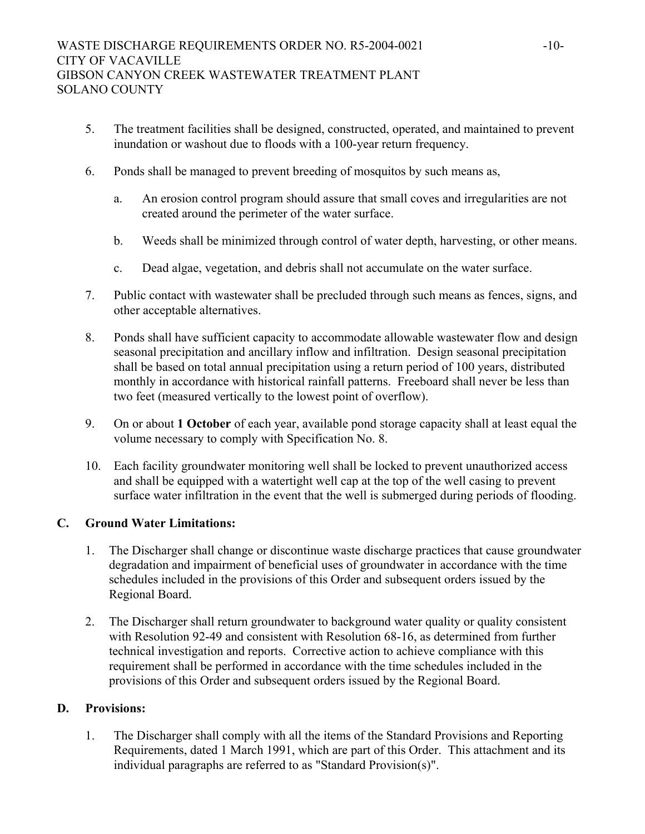- 5. The treatment facilities shall be designed, constructed, operated, and maintained to prevent inundation or washout due to floods with a 100-year return frequency.
- 6. Ponds shall be managed to prevent breeding of mosquitos by such means as,
	- a. An erosion control program should assure that small coves and irregularities are not created around the perimeter of the water surface.
	- b. Weeds shall be minimized through control of water depth, harvesting, or other means.
	- c. Dead algae, vegetation, and debris shall not accumulate on the water surface.
- 7. Public contact with wastewater shall be precluded through such means as fences, signs, and other acceptable alternatives.
- 8. Ponds shall have sufficient capacity to accommodate allowable wastewater flow and design seasonal precipitation and ancillary inflow and infiltration. Design seasonal precipitation shall be based on total annual precipitation using a return period of 100 years, distributed monthly in accordance with historical rainfall patterns. Freeboard shall never be less than two feet (measured vertically to the lowest point of overflow).
- 9. On or about **1 October** of each year, available pond storage capacity shall at least equal the volume necessary to comply with Specification No. 8.
- 10. Each facility groundwater monitoring well shall be locked to prevent unauthorized access and shall be equipped with a watertight well cap at the top of the well casing to prevent surface water infiltration in the event that the well is submerged during periods of flooding.

# **C. Ground Water Limitations:**

- 1. The Discharger shall change or discontinue waste discharge practices that cause groundwater degradation and impairment of beneficial uses of groundwater in accordance with the time schedules included in the provisions of this Order and subsequent orders issued by the Regional Board.
- 2. The Discharger shall return groundwater to background water quality or quality consistent with Resolution 92-49 and consistent with Resolution 68-16, as determined from further technical investigation and reports. Corrective action to achieve compliance with this requirement shall be performed in accordance with the time schedules included in the provisions of this Order and subsequent orders issued by the Regional Board.

# **D. Provisions:**

1. The Discharger shall comply with all the items of the Standard Provisions and Reporting Requirements, dated 1 March 1991, which are part of this Order. This attachment and its individual paragraphs are referred to as "Standard Provision(s)".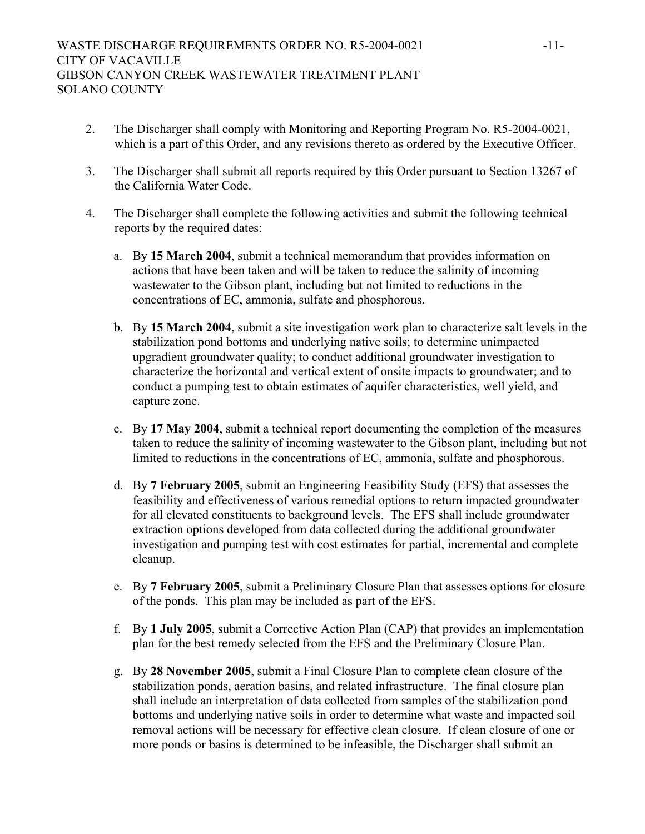- 2. The Discharger shall comply with Monitoring and Reporting Program No. R5-2004-0021, which is a part of this Order, and any revisions thereto as ordered by the Executive Officer.
- 3. The Discharger shall submit all reports required by this Order pursuant to Section 13267 of the California Water Code.
- 4. The Discharger shall complete the following activities and submit the following technical reports by the required dates:
	- a. By **15 March 2004**, submit a technical memorandum that provides information on actions that have been taken and will be taken to reduce the salinity of incoming wastewater to the Gibson plant, including but not limited to reductions in the concentrations of EC, ammonia, sulfate and phosphorous.
	- b. By **15 March 2004**, submit a site investigation work plan to characterize salt levels in the stabilization pond bottoms and underlying native soils; to determine unimpacted upgradient groundwater quality; to conduct additional groundwater investigation to characterize the horizontal and vertical extent of onsite impacts to groundwater; and to conduct a pumping test to obtain estimates of aquifer characteristics, well yield, and capture zone.
	- c. By **17 May 2004**, submit a technical report documenting the completion of the measures taken to reduce the salinity of incoming wastewater to the Gibson plant, including but not limited to reductions in the concentrations of EC, ammonia, sulfate and phosphorous.
	- d. By **7 February 2005**, submit an Engineering Feasibility Study (EFS) that assesses the feasibility and effectiveness of various remedial options to return impacted groundwater for all elevated constituents to background levels. The EFS shall include groundwater extraction options developed from data collected during the additional groundwater investigation and pumping test with cost estimates for partial, incremental and complete cleanup.
	- e. By **7 February 2005**, submit a Preliminary Closure Plan that assesses options for closure of the ponds. This plan may be included as part of the EFS.
	- f. By **1 July 2005**, submit a Corrective Action Plan (CAP) that provides an implementation plan for the best remedy selected from the EFS and the Preliminary Closure Plan.
	- g. By **28 November 2005**, submit a Final Closure Plan to complete clean closure of the stabilization ponds, aeration basins, and related infrastructure. The final closure plan shall include an interpretation of data collected from samples of the stabilization pond bottoms and underlying native soils in order to determine what waste and impacted soil removal actions will be necessary for effective clean closure. If clean closure of one or more ponds or basins is determined to be infeasible, the Discharger shall submit an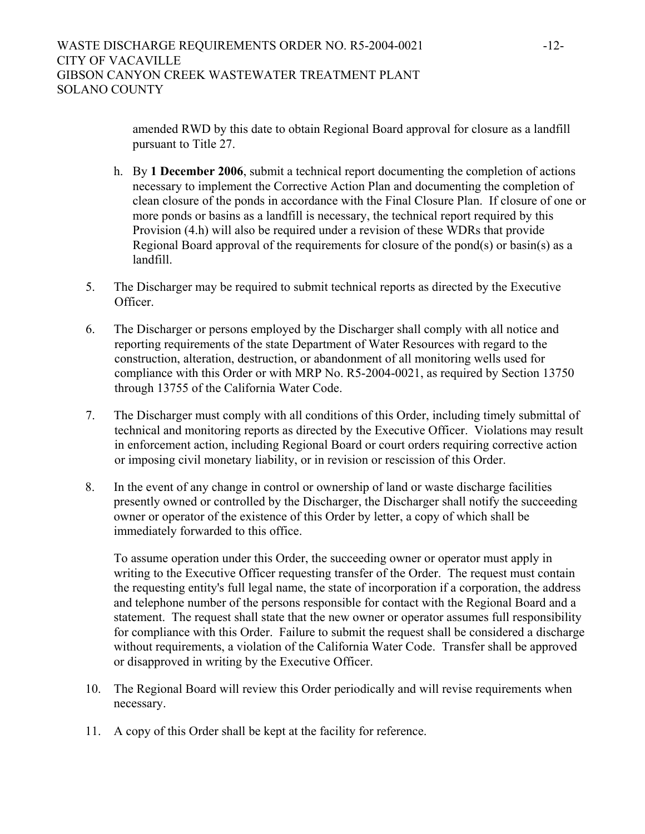amended RWD by this date to obtain Regional Board approval for closure as a landfill pursuant to Title 27.

- h. By **1 December 2006**, submit a technical report documenting the completion of actions necessary to implement the Corrective Action Plan and documenting the completion of clean closure of the ponds in accordance with the Final Closure Plan. If closure of one or more ponds or basins as a landfill is necessary, the technical report required by this Provision (4.h) will also be required under a revision of these WDRs that provide Regional Board approval of the requirements for closure of the pond(s) or basin(s) as a landfill.
- 5. The Discharger may be required to submit technical reports as directed by the Executive Officer.
- 6. The Discharger or persons employed by the Discharger shall comply with all notice and reporting requirements of the state Department of Water Resources with regard to the construction, alteration, destruction, or abandonment of all monitoring wells used for compliance with this Order or with MRP No. R5-2004-0021, as required by Section 13750 through 13755 of the California Water Code.
- 7. The Discharger must comply with all conditions of this Order, including timely submittal of technical and monitoring reports as directed by the Executive Officer. Violations may result in enforcement action, including Regional Board or court orders requiring corrective action or imposing civil monetary liability, or in revision or rescission of this Order.
- 8. In the event of any change in control or ownership of land or waste discharge facilities presently owned or controlled by the Discharger, the Discharger shall notify the succeeding owner or operator of the existence of this Order by letter, a copy of which shall be immediately forwarded to this office.

To assume operation under this Order, the succeeding owner or operator must apply in writing to the Executive Officer requesting transfer of the Order. The request must contain the requesting entity's full legal name, the state of incorporation if a corporation, the address and telephone number of the persons responsible for contact with the Regional Board and a statement. The request shall state that the new owner or operator assumes full responsibility for compliance with this Order. Failure to submit the request shall be considered a discharge without requirements, a violation of the California Water Code. Transfer shall be approved or disapproved in writing by the Executive Officer.

- 10. The Regional Board will review this Order periodically and will revise requirements when necessary.
- 11. A copy of this Order shall be kept at the facility for reference.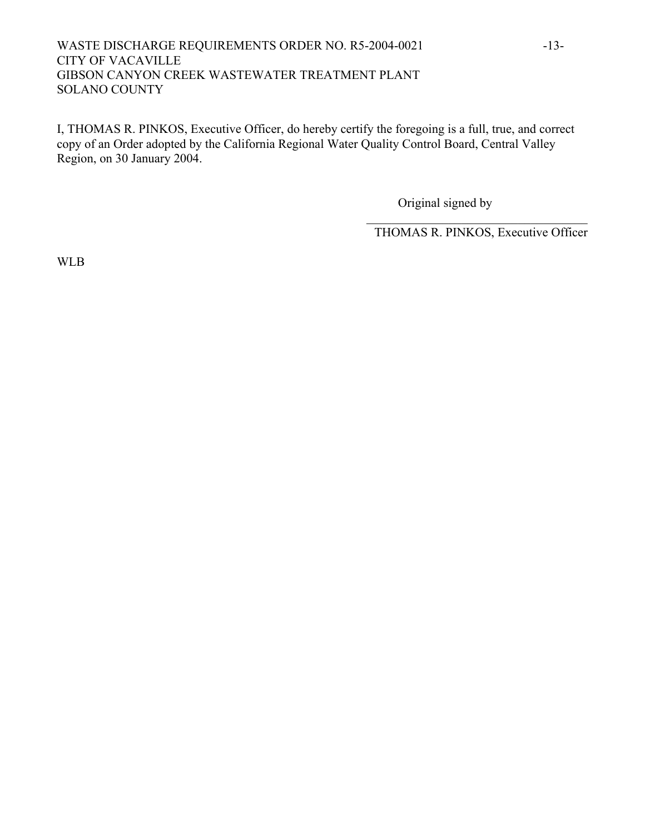# WASTE DISCHARGE REQUIREMENTS ORDER NO. R5-2004-0021 -13-CITY OF VACAVILLE GIBSON CANYON CREEK WASTEWATER TREATMENT PLANT SOLANO COUNTY

I, THOMAS R. PINKOS, Executive Officer, do hereby certify the foregoing is a full, true, and correct copy of an Order adopted by the California Regional Water Quality Control Board, Central Valley Region, on 30 January 2004.

Original signed by

THOMAS R. PINKOS, Executive Officer

 $\mathcal{L}_\text{max}$  , and the set of the set of the set of the set of the set of the set of the set of the set of the set of the set of the set of the set of the set of the set of the set of the set of the set of the set of the

WLB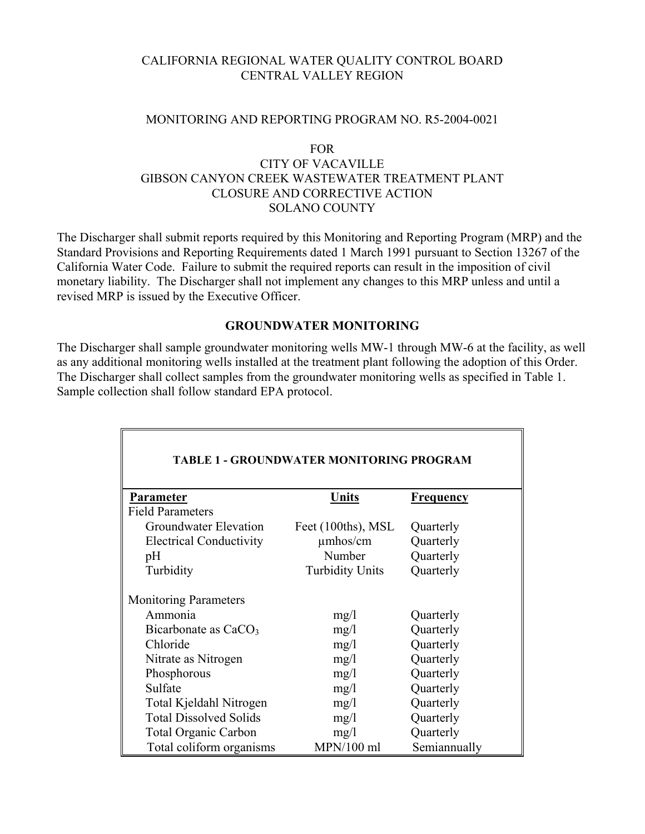# CALIFORNIA REGIONAL WATER QUALITY CONTROL BOARD CENTRAL VALLEY REGION

#### MONITORING AND REPORTING PROGRAM NO. R5-2004-0021

#### FOR

# CITY OF VACAVILLE GIBSON CANYON CREEK WASTEWATER TREATMENT PLANT CLOSURE AND CORRECTIVE ACTION SOLANO COUNTY

The Discharger shall submit reports required by this Monitoring and Reporting Program (MRP) and the Standard Provisions and Reporting Requirements dated 1 March 1991 pursuant to Section 13267 of the California Water Code. Failure to submit the required reports can result in the imposition of civil monetary liability. The Discharger shall not implement any changes to this MRP unless and until a revised MRP is issued by the Executive Officer.

## **GROUNDWATER MONITORING**

The Discharger shall sample groundwater monitoring wells MW-1 through MW-6 at the facility, as well as any additional monitoring wells installed at the treatment plant following the adoption of this Order. The Discharger shall collect samples from the groundwater monitoring wells as specified in Table 1. Sample collection shall follow standard EPA protocol.

| <b>TABLE 1 - GROUNDWATER MONITORING PROGRAM</b> |                        |                  |  |
|-------------------------------------------------|------------------------|------------------|--|
| Parameter                                       | Units                  | <b>Frequency</b> |  |
| <b>Field Parameters</b>                         |                        |                  |  |
| Groundwater Elevation                           | Feet (100ths), MSL     | Quarterly        |  |
| <b>Electrical Conductivity</b>                  | $\mu$ mhos/cm          | Quarterly        |  |
| pH                                              | Number                 | Quarterly        |  |
| Turbidity                                       | <b>Turbidity Units</b> | Quarterly        |  |
| <b>Monitoring Parameters</b>                    |                        |                  |  |
| Ammonia                                         | mg/1                   | Quarterly        |  |
| Bicarbonate as CaCO <sub>3</sub>                | mg/1                   | Quarterly        |  |
| Chloride                                        | mg/l                   | Quarterly        |  |
| Nitrate as Nitrogen                             | mg/1                   | Quarterly        |  |
| Phosphorous                                     | mg/1                   | Quarterly        |  |
| Sulfate                                         | mg/1                   | Quarterly        |  |
| Total Kjeldahl Nitrogen                         | mg/l                   | Quarterly        |  |
| <b>Total Dissolved Solids</b>                   | mg/1                   | Quarterly        |  |
| <b>Total Organic Carbon</b>                     | mg/1                   | Quarterly        |  |
| Total coliform organisms                        | MPN/100 ml             | Semiannually     |  |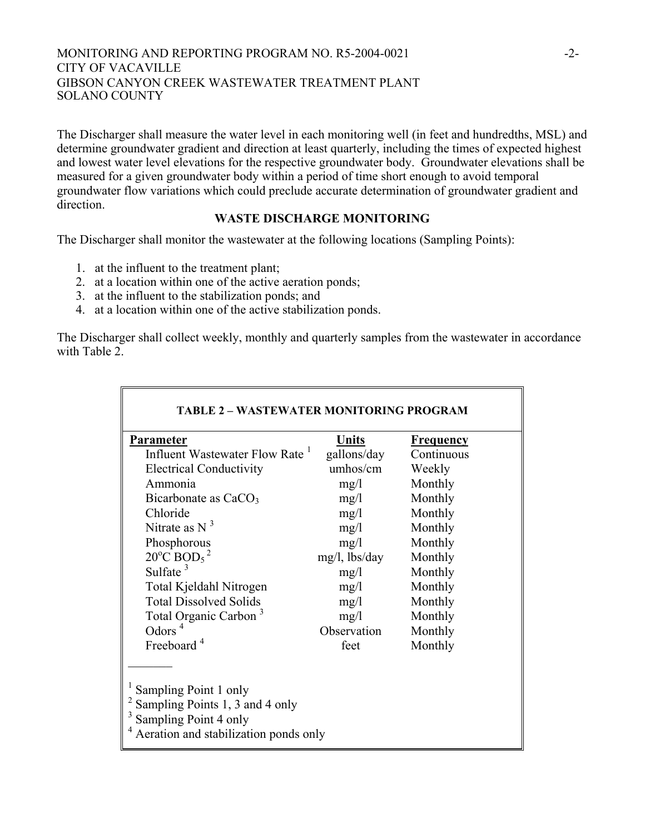## MONITORING AND REPORTING PROGRAM NO. R5-2004-0021 -2-CITY OF VACAVILLE GIBSON CANYON CREEK WASTEWATER TREATMENT PLANT SOLANO COUNTY

The Discharger shall measure the water level in each monitoring well (in feet and hundredths, MSL) and determine groundwater gradient and direction at least quarterly, including the times of expected highest and lowest water level elevations for the respective groundwater body. Groundwater elevations shall be measured for a given groundwater body within a period of time short enough to avoid temporal groundwater flow variations which could preclude accurate determination of groundwater gradient and direction.

## **WASTE DISCHARGE MONITORING**

The Discharger shall monitor the wastewater at the following locations (Sampling Points):

- 1. at the influent to the treatment plant;
- 2. at a location within one of the active aeration ponds;
- 3. at the influent to the stabilization ponds; and
- 4. at a location within one of the active stabilization ponds.

The Discharger shall collect weekly, monthly and quarterly samples from the wastewater in accordance with Table 2.

| <b>Parameter</b>                             | Units            | <u>Frequency</u> |
|----------------------------------------------|------------------|------------------|
| Influent Wastewater Flow Rate <sup>1</sup>   | gallons/day      | Continuous       |
| <b>Electrical Conductivity</b>               | umhos/cm         | Weekly           |
| Ammonia                                      | mg/1             | Monthly          |
| Bicarbonate as $CaCO3$                       | mg/1             | Monthly          |
| Chloride                                     | mg/1             | Monthly          |
| Nitrate as $N3$                              | mg/1             | Monthly          |
| Phosphorous                                  | mg/1             | Monthly          |
| $20^{\circ}$ C BOD <sub>5</sub> <sup>2</sup> | $mg/l$ , lbs/day | Monthly          |
| Sulfate $3$                                  | mg/l             | Monthly          |
| Total Kjeldahl Nitrogen                      | mg/l             | Monthly          |
| <b>Total Dissolved Solids</b>                | mg/1             | Monthly          |
| Total Organic Carbon <sup>3</sup>            | mg/l             | Monthly          |
| Odors $4$                                    | Observation      | Monthly          |
| Freeboard <sup>4</sup>                       | feet             | Monthly          |

## **TABLE 2 – WASTEWATER MONITORING PROGRAM**

Sampling Points 1, 3 and 4 only

 $\frac{3}{4}$  Sampling Point 4 only

Aeration and stabilization ponds only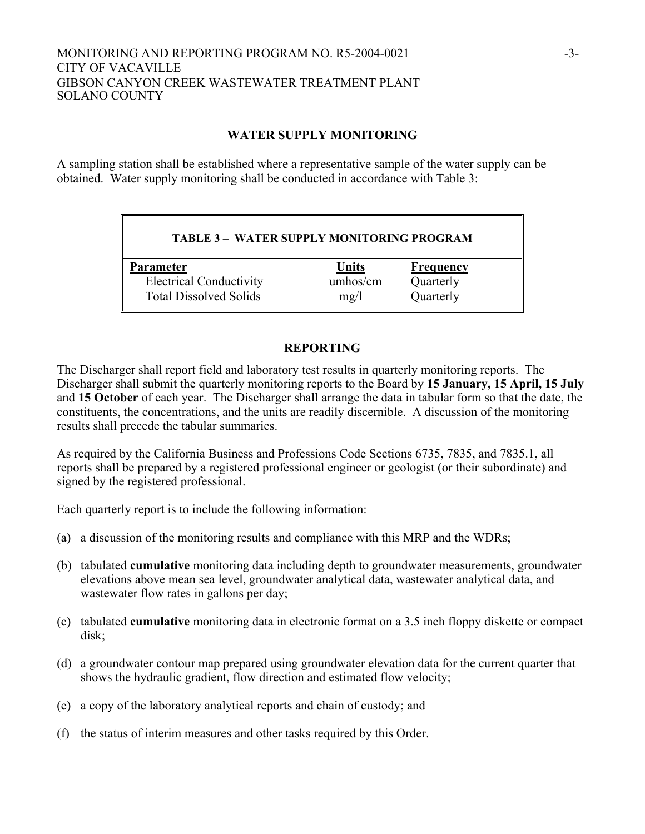## MONITORING AND REPORTING PROGRAM NO. R5-2004-0021 -3-CITY OF VACAVILLE GIBSON CANYON CREEK WASTEWATER TREATMENT PLANT SOLANO COUNTY

# **WATER SUPPLY MONITORING**

A sampling station shall be established where a representative sample of the water supply can be obtained. Water supply monitoring shall be conducted in accordance with Table 3:

# **TABLE 3 – WATER SUPPLY MONITORING PROGRAM**

**Parameter Units Frequency**  Electrical Conductivity umhos/cm Quarterly Total Dissolved Solids mg/l Quarterly

# **REPORTING**

The Discharger shall report field and laboratory test results in quarterly monitoring reports. The Discharger shall submit the quarterly monitoring reports to the Board by **15 January, 15 April, 15 July**  and **15 October** of each year. The Discharger shall arrange the data in tabular form so that the date, the constituents, the concentrations, and the units are readily discernible. A discussion of the monitoring results shall precede the tabular summaries.

As required by the California Business and Professions Code Sections 6735, 7835, and 7835.1, all reports shall be prepared by a registered professional engineer or geologist (or their subordinate) and signed by the registered professional.

Each quarterly report is to include the following information:

- (a) a discussion of the monitoring results and compliance with this MRP and the WDRs;
- (b) tabulated **cumulative** monitoring data including depth to groundwater measurements, groundwater elevations above mean sea level, groundwater analytical data, wastewater analytical data, and wastewater flow rates in gallons per day;
- (c) tabulated **cumulative** monitoring data in electronic format on a 3.5 inch floppy diskette or compact disk;
- (d) a groundwater contour map prepared using groundwater elevation data for the current quarter that shows the hydraulic gradient, flow direction and estimated flow velocity;
- (e) a copy of the laboratory analytical reports and chain of custody; and
- (f) the status of interim measures and other tasks required by this Order.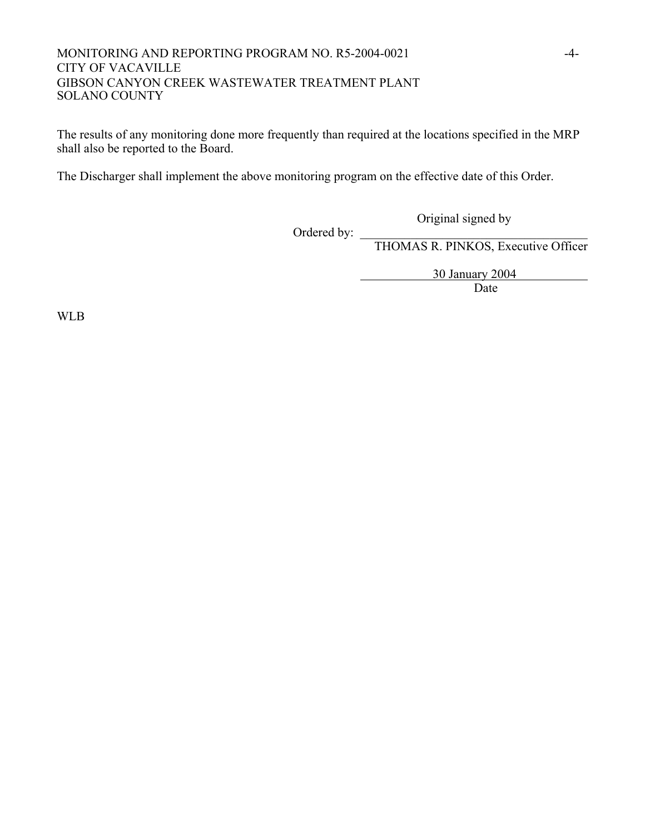## MONITORING AND REPORTING PROGRAM NO. R5-2004-0021 -4-CITY OF VACAVILLE GIBSON CANYON CREEK WASTEWATER TREATMENT PLANT SOLANO COUNTY

The results of any monitoring done more frequently than required at the locations specified in the MRP shall also be reported to the Board.

The Discharger shall implement the above monitoring program on the effective date of this Order.

Ordered by:  $\overline{\phantom{a}}$ 

THOMAS R. PINKOS, Executive Officer

Original signed by

30 January 2004

Date

WLB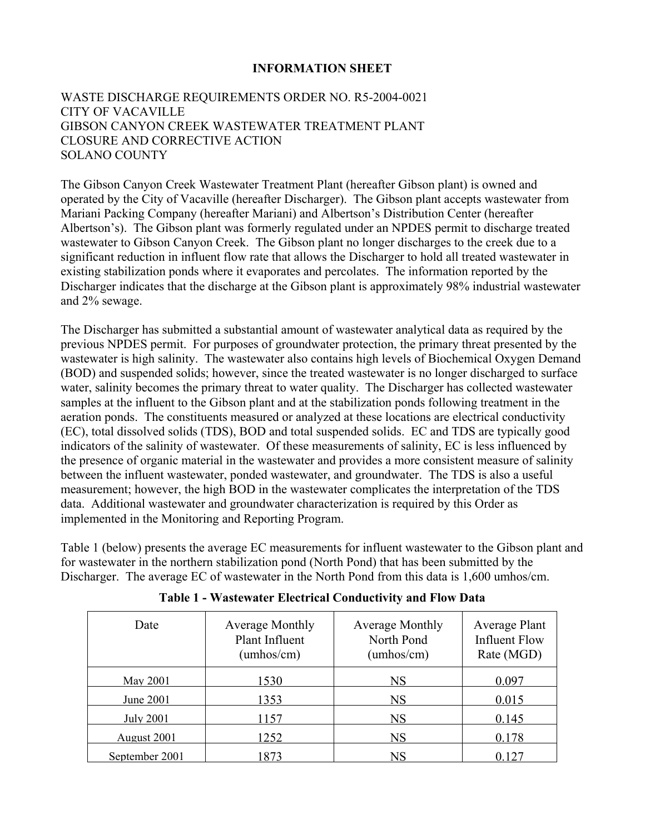# **INFORMATION SHEET**

# WASTE DISCHARGE REQUIREMENTS ORDER NO. R5-2004-0021 CITY OF VACAVILLE GIBSON CANYON CREEK WASTEWATER TREATMENT PLANT CLOSURE AND CORRECTIVE ACTION SOLANO COUNTY

The Gibson Canyon Creek Wastewater Treatment Plant (hereafter Gibson plant) is owned and operated by the City of Vacaville (hereafter Discharger). The Gibson plant accepts wastewater from Mariani Packing Company (hereafter Mariani) and Albertson's Distribution Center (hereafter Albertson's). The Gibson plant was formerly regulated under an NPDES permit to discharge treated wastewater to Gibson Canyon Creek. The Gibson plant no longer discharges to the creek due to a significant reduction in influent flow rate that allows the Discharger to hold all treated wastewater in existing stabilization ponds where it evaporates and percolates. The information reported by the Discharger indicates that the discharge at the Gibson plant is approximately 98% industrial wastewater and 2% sewage.

The Discharger has submitted a substantial amount of wastewater analytical data as required by the previous NPDES permit. For purposes of groundwater protection, the primary threat presented by the wastewater is high salinity. The wastewater also contains high levels of Biochemical Oxygen Demand (BOD) and suspended solids; however, since the treated wastewater is no longer discharged to surface water, salinity becomes the primary threat to water quality. The Discharger has collected wastewater samples at the influent to the Gibson plant and at the stabilization ponds following treatment in the aeration ponds. The constituents measured or analyzed at these locations are electrical conductivity (EC), total dissolved solids (TDS), BOD and total suspended solids. EC and TDS are typically good indicators of the salinity of wastewater. Of these measurements of salinity, EC is less influenced by the presence of organic material in the wastewater and provides a more consistent measure of salinity between the influent wastewater, ponded wastewater, and groundwater. The TDS is also a useful measurement; however, the high BOD in the wastewater complicates the interpretation of the TDS data. Additional wastewater and groundwater characterization is required by this Order as implemented in the Monitoring and Reporting Program.

Table 1 (below) presents the average EC measurements for influent wastewater to the Gibson plant and for wastewater in the northern stabilization pond (North Pond) that has been submitted by the Discharger. The average EC of wastewater in the North Pond from this data is 1,600 umhos/cm.

| Date             | <b>Average Monthly</b><br><b>Plant Influent</b><br>(umbos/cm) | <b>Average Monthly</b><br>North Pond<br>(umhos/cm) | Average Plant<br><b>Influent Flow</b><br>Rate (MGD) |
|------------------|---------------------------------------------------------------|----------------------------------------------------|-----------------------------------------------------|
| May 2001         | 1530                                                          | NS                                                 | 0.097                                               |
| June 2001        | 1353                                                          | NS                                                 | 0.015                                               |
| <b>July 2001</b> | 57                                                            | NS                                                 | 0.145                                               |
| August 2001      | 252                                                           | NS                                                 | 0 178                                               |
| September 2001   | 873                                                           |                                                    |                                                     |

**Table 1 - Wastewater Electrical Conductivity and Flow Data**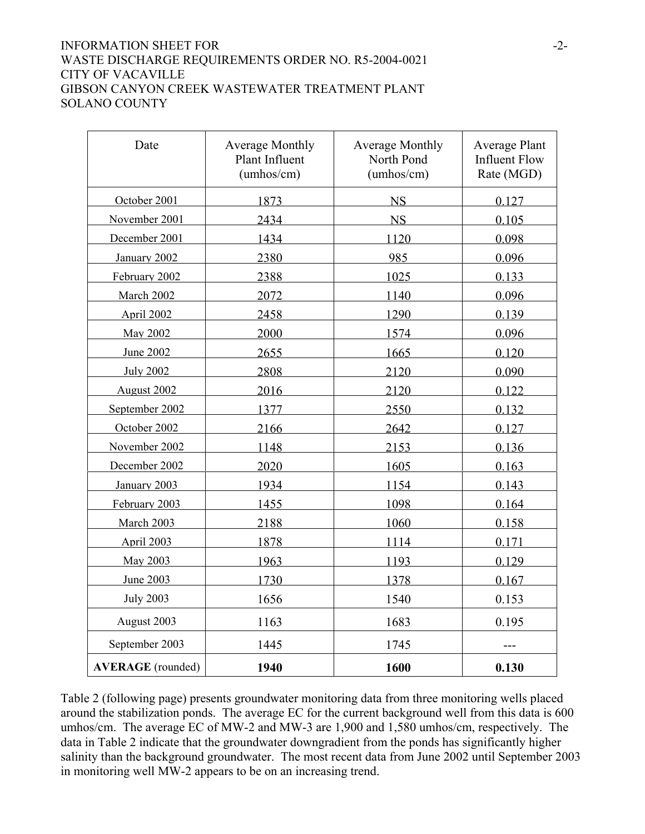# INFORMATION SHEET FOR  $-2$ -WASTE DISCHARGE REQUIREMENTS ORDER NO. R5-2004-0021 CITY OF VACAVILLE GIBSON CANYON CREEK WASTEWATER TREATMENT PLANT SOLANO COUNTY

| Date                     | <b>Average Monthly</b><br>Plant Influent<br>(umbos/cm) | <b>Average Monthly</b><br>North Pond<br>(umbos/cm) | <b>Average Plant</b><br><b>Influent Flow</b><br>Rate (MGD) |
|--------------------------|--------------------------------------------------------|----------------------------------------------------|------------------------------------------------------------|
| October 2001             | 1873                                                   | <b>NS</b>                                          | 0.127                                                      |
| November 2001            | 2434                                                   | <b>NS</b>                                          | 0.105                                                      |
| December 2001            | 1434                                                   | 1120                                               | 0.098                                                      |
| January 2002             | 2380                                                   | 985                                                | 0.096                                                      |
| February 2002            | 2388                                                   | 1025                                               | 0.133                                                      |
| March 2002               | 2072                                                   | 1140                                               | 0.096                                                      |
| April 2002               | 2458                                                   | 1290                                               | 0.139                                                      |
| May 2002                 | 2000                                                   | 1574                                               | 0.096                                                      |
| <b>June 2002</b>         | 2655                                                   | 1665                                               | 0.120                                                      |
| <b>July 2002</b>         | 2808                                                   | 2120                                               | 0.090                                                      |
| August 2002              | 2016                                                   | 2120                                               | 0.122                                                      |
| September 2002           | 1377                                                   | 2550                                               | 0.132                                                      |
| October 2002             | 2166                                                   | 2642                                               | 0.127                                                      |
| November 2002            | 1148                                                   | 2153                                               | 0.136                                                      |
| December 2002            | 2020                                                   | 1605                                               | 0.163                                                      |
| January 2003             | 1934                                                   | 1154                                               | 0.143                                                      |
| February 2003            | 1455                                                   | 1098                                               | 0.164                                                      |
| March 2003               | 2188                                                   | 1060                                               | 0.158                                                      |
| April 2003               | 1878                                                   | 1114                                               | 0.171                                                      |
| May 2003                 | 1963                                                   | 1193                                               | 0.129                                                      |
| June 2003                | 1730                                                   | 1378                                               | 0.167                                                      |
| <b>July 2003</b>         | 1656                                                   | 1540                                               | 0.153                                                      |
| August 2003              | 1163                                                   | 1683                                               | 0.195                                                      |
| September 2003           | 1445                                                   | 1745                                               | ---                                                        |
| <b>AVERAGE</b> (rounded) | 1940                                                   | 1600                                               | 0.130                                                      |

Table 2 (following page) presents groundwater monitoring data from three monitoring wells placed around the stabilization ponds. The average EC for the current background well from this data is 600 umhos/cm. The average EC of MW-2 and MW-3 are 1,900 and 1,580 umhos/cm, respectively. The data in Table 2 indicate that the groundwater downgradient from the ponds has significantly higher salinity than the background groundwater. The most recent data from June 2002 until September 2003 in monitoring well MW-2 appears to be on an increasing trend.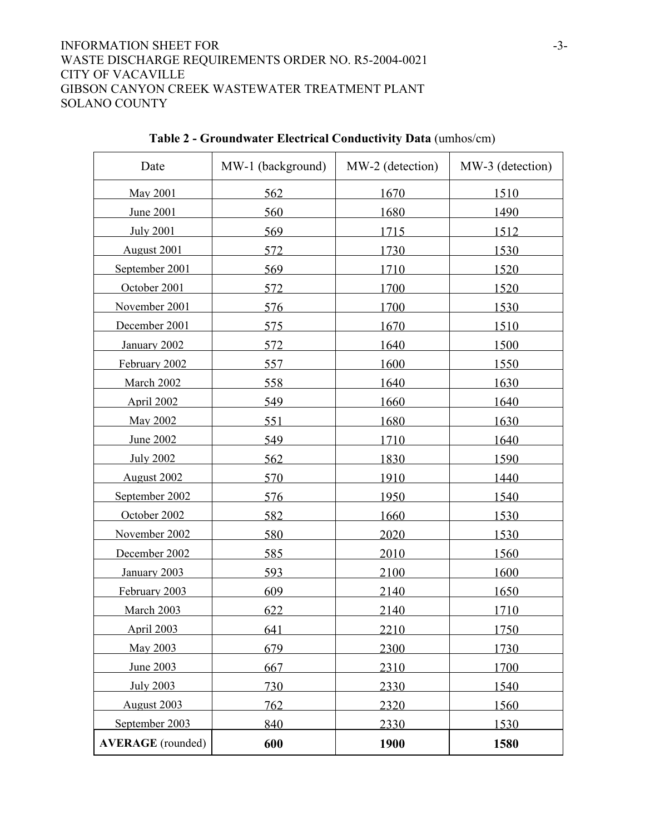# INFORMATION SHEET FOR -3-WASTE DISCHARGE REQUIREMENTS ORDER NO. R5-2004-0021 CITY OF VACAVILLE GIBSON CANYON CREEK WASTEWATER TREATMENT PLANT SOLANO COUNTY

 $\Gamma$ 

| Date                     | MW-1 (background) | MW-2 (detection) | MW-3 (detection) |
|--------------------------|-------------------|------------------|------------------|
| May 2001                 | 562               | 1670             | 1510             |
| June 2001                | 560               | 1680             | 1490             |
| <b>July 2001</b>         | 569               | 1715             | 1512             |
| August 2001              | 572               | 1730             | 1530             |
| September 2001           | 569               | 1710             | 1520             |
| October 2001             | 572               | 1700             | 1520             |
| November 2001            | 576               | 1700             | 1530             |
| December 2001            | 575               | 1670             | 1510             |
| January 2002             | 572               | 1640             | 1500             |
| February 2002            | 557               | 1600             | 1550             |
| March 2002               | 558               | 1640             | 1630             |
| April 2002               | 549               | 1660             | 1640             |
| May 2002                 | 551               | 1680             | 1630             |
| June 2002                | 549               | 1710             | 1640             |
| <b>July 2002</b>         | 562               | 1830             | 1590             |
| August 2002              | 570               | 1910             | 1440             |
| September 2002           | 576               | 1950             | 1540             |
| October 2002             | 582               | 1660             | 1530             |
| November 2002            | 580               | 2020             | 1530             |
| December 2002            | 585               | 2010             | 1560             |
| January 2003             | 593               | 2100             | 1600             |
| February 2003            | 609               | 2140             | 1650             |
| March 2003               | 622               | 2140             | 1710             |
| <b>April 2003</b>        | 641               | 2210             | 1750             |
| May 2003                 | 679               | 2300             | 1730             |
| June 2003                | 667               | 2310             | 1700             |
| <b>July 2003</b>         | 730               | 2330             | 1540             |
| August 2003              | 762               | 2320             | 1560             |
| September 2003           | 840               | 2330             | 1530             |
| <b>AVERAGE</b> (rounded) | 600               | 1900             | 1580             |

# **Table 2 - Groundwater Electrical Conductivity Data** (umhos/cm)

 $\overline{\phantom{a}}$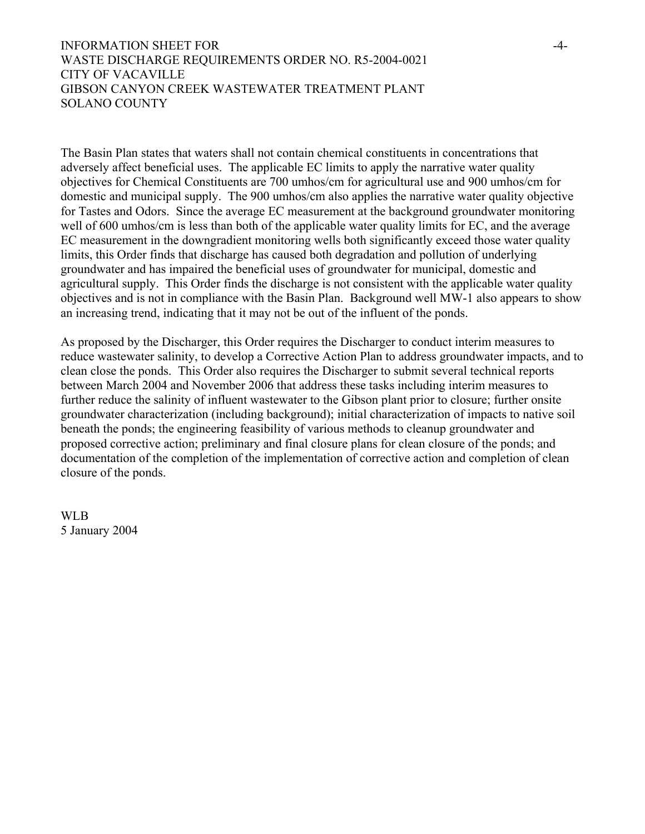## INFORMATION SHEET FOR  $^{4-}$ WASTE DISCHARGE REQUIREMENTS ORDER NO. R5-2004-0021 CITY OF VACAVILLE GIBSON CANYON CREEK WASTEWATER TREATMENT PLANT SOLANO COUNTY

The Basin Plan states that waters shall not contain chemical constituents in concentrations that adversely affect beneficial uses. The applicable EC limits to apply the narrative water quality objectives for Chemical Constituents are 700 umhos/cm for agricultural use and 900 umhos/cm for domestic and municipal supply. The 900 umhos/cm also applies the narrative water quality objective for Tastes and Odors. Since the average EC measurement at the background groundwater monitoring well of 600 umhos/cm is less than both of the applicable water quality limits for EC, and the average EC measurement in the downgradient monitoring wells both significantly exceed those water quality limits, this Order finds that discharge has caused both degradation and pollution of underlying groundwater and has impaired the beneficial uses of groundwater for municipal, domestic and agricultural supply. This Order finds the discharge is not consistent with the applicable water quality objectives and is not in compliance with the Basin Plan. Background well MW-1 also appears to show an increasing trend, indicating that it may not be out of the influent of the ponds.

As proposed by the Discharger, this Order requires the Discharger to conduct interim measures to reduce wastewater salinity, to develop a Corrective Action Plan to address groundwater impacts, and to clean close the ponds. This Order also requires the Discharger to submit several technical reports between March 2004 and November 2006 that address these tasks including interim measures to further reduce the salinity of influent wastewater to the Gibson plant prior to closure; further onsite groundwater characterization (including background); initial characterization of impacts to native soil beneath the ponds; the engineering feasibility of various methods to cleanup groundwater and proposed corrective action; preliminary and final closure plans for clean closure of the ponds; and documentation of the completion of the implementation of corrective action and completion of clean closure of the ponds.

WLB 5 January 2004